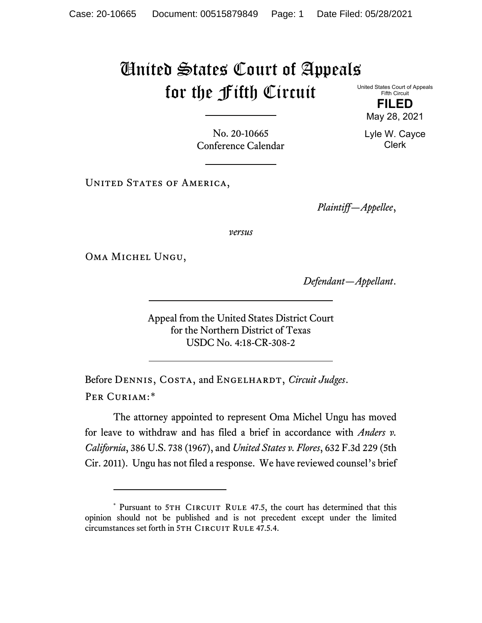## United States Court of Appeals for the Fifth Circuit

United States Court of Appeals Fifth Circuit

> **FILED** May 28, 2021

Lyle W. Cayce Clerk

No. 20-10665 Conference Calendar

UNITED STATES OF AMERICA,

*Plaintiff—Appellee*,

*versus*

Oma Michel Ungu,

*Defendant—Appellant*.

Appeal from the United States District Court for the Northern District of Texas USDC No. 4:18-CR-308-2

Before DENNIS, COSTA, and ENGELHARDT, *Circuit Judges*. Per Curiam:[\\*](#page-0-0)

The attorney appointed to represent Oma Michel Ungu has moved for leave to withdraw and has filed a brief in accordance with *Anders v. California*, 386 U.S. 738 (1967), and *United States v. Flores*, 632 F.3d 229 (5th Cir. 2011). Ungu has not filed a response. We have reviewed counsel's brief

<span id="page-0-0"></span><sup>\*</sup> Pursuant to 5TH CIRCUIT RULE 47.5, the court has determined that this opinion should not be published and is not precedent except under the limited circumstances set forth in 5TH CIRCUIT RULE 47.5.4.